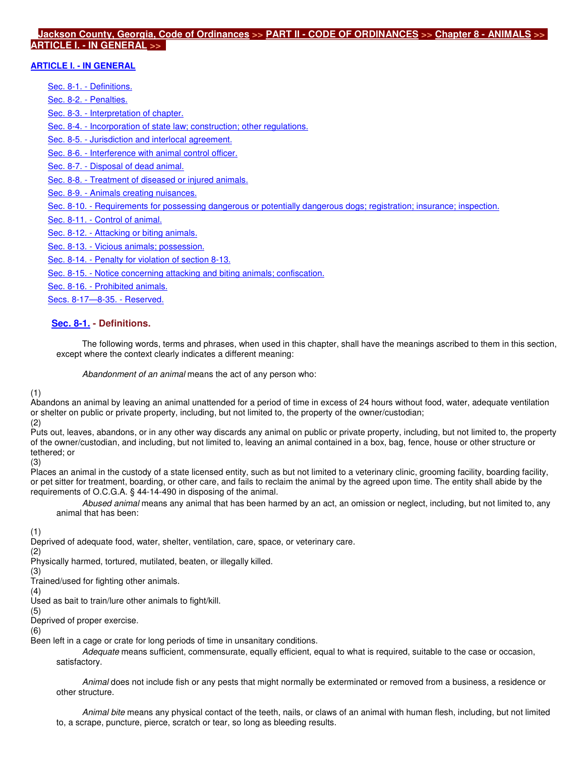#### **Jackson County, Georgia, Code of Ordinances >> PART II - CODE OF ORDINANCES >> Chapter 8 - ANIMALS >> ARTICLE I. - IN GENERAL >>**

### **ARTICLE I. - IN GENERAL**

Sec. 8-1. - Definitions.

Sec. 8-2. - Penalties.

Sec. 8-3. - Interpretation of chapter.

Sec. 8-4. - Incorporation of state law; construction; other regulations.

Sec. 8-5. - Jurisdiction and interlocal agreement.

Sec. 8-6. - Interference with animal control officer.

Sec. 8-7. - Disposal of dead animal.

Sec. 8-8. - Treatment of diseased or injured animals.

Sec. 8-9. - Animals creating nuisances.

Sec. 8-10. - Requirements for possessing dangerous or potentially dangerous dogs; registration; insurance; inspection.

Sec. 8-11. - Control of animal.

Sec. 8-12. - Attacking or biting animals.

Sec. 8-13. - Vicious animals; possession.

Sec. 8-14. - Penalty for violation of section 8-13.

Sec. 8-15. - Notice concerning attacking and biting animals; confiscation.

Sec. 8-16. - Prohibited animals.

Secs. 8-17—8-35. - Reserved.

# **Sec. 8-1. - Definitions.**

The following words, terms and phrases, when used in this chapter, shall have the meanings ascribed to them in this section, except where the context clearly indicates a different meaning:

Abandonment of an animal means the act of any person who:

#### (1)

Abandons an animal by leaving an animal unattended for a period of time in excess of 24 hours without food, water, adequate ventilation or shelter on public or private property, including, but not limited to, the property of the owner/custodian;

(2)

Puts out, leaves, abandons, or in any other way discards any animal on public or private property, including, but not limited to, the property of the owner/custodian, and including, but not limited to, leaving an animal contained in a box, bag, fence, house or other structure or tethered; or

(3)

Places an animal in the custody of a state licensed entity, such as but not limited to a veterinary clinic, grooming facility, boarding facility, or pet sitter for treatment, boarding, or other care, and fails to reclaim the animal by the agreed upon time. The entity shall abide by the requirements of O.C.G.A. § 44-14-490 in disposing of the animal.

Abused animal means any animal that has been harmed by an act, an omission or neglect, including, but not limited to, any animal that has been:

(1)

Deprived of adequate food, water, shelter, ventilation, care, space, or veterinary care.

(2)

Physically harmed, tortured, mutilated, beaten, or illegally killed.

(3) Trained/used for fighting other animals.

(4)

Used as bait to train/lure other animals to fight/kill.

(5)

Deprived of proper exercise.

(6)

Been left in a cage or crate for long periods of time in unsanitary conditions.

Adequate means sufficient, commensurate, equally efficient, equal to what is required, suitable to the case or occasion, satisfactory.

Animal does not include fish or any pests that might normally be exterminated or removed from a business, a residence or other structure.

Animal bite means any physical contact of the teeth, nails, or claws of an animal with human flesh, including, but not limited to, a scrape, puncture, pierce, scratch or tear, so long as bleeding results.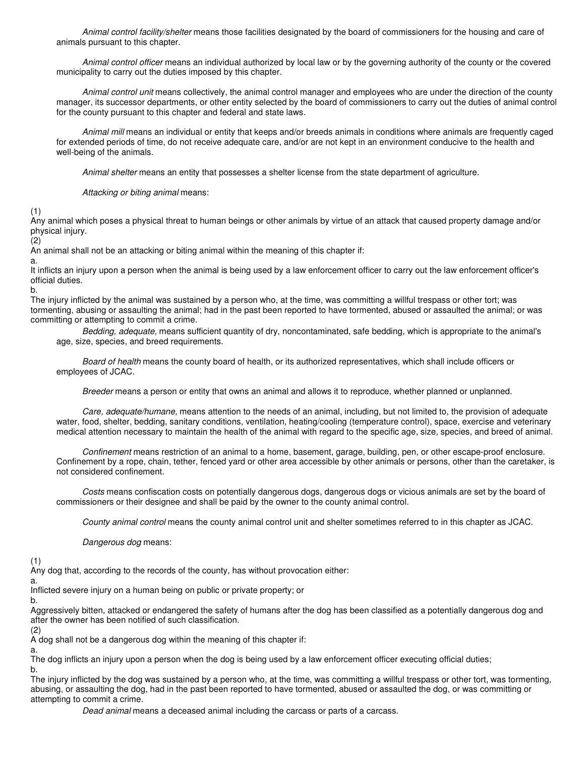Animal control facility/shelter means those facilities designated by the board of commissioners for the housing and care of animals pursuant to this chapter.

Animal control officer means an individual authorized by local law or by the governing authority of the county or the covered municipality to carry out the duties imposed by this chapter.

Animal control unit means collectively, the animal control manager and employees who are under the direction of the county manager, its successor departments, or other entity selected by the board of commissioners to carry out the duties of animal control for the county pursuant to this chapter and federal and state laws.

Animal mill means an individual or entity that keeps and/or breeds animals in conditions where animals are frequently caged for extended periods of time, do not receive adequate care, and/or are not kept in an environment conducive to the health and well-being of the animals.

Animal shelter means an entity that possesses a shelter license from the state department of agriculture.

Attacking or biting animal means:

(1)

Any animal which poses a physical threat to human beings or other animals by virtue of an attack that caused property damage and/or physical injury.

 $(2)$ 

An animal shall not be an attacking or biting animal within the meaning of this chapter if:

a.

It inflicts an injury upon a person when the animal is being used by a law enforcement officer to carry out the law enforcement officer's official duties.

b.

The injury inflicted by the animal was sustained by a person who, at the time, was committing a willful trespass or other tort; was tormenting, abusing or assaulting the animal; had in the past been reported to have tormented, abused or assaulted the animal; or was committing or attempting to commit a crime.

Bedding, adequate, means sufficient quantity of dry, noncontaminated, safe bedding, which is appropriate to the animal's age, size, species, and breed requirements.

Board of health means the county board of health, or its authorized representatives, which shall include officers or employees of JCAC.

Breeder means a person or entity that owns an animal and allows it to reproduce, whether planned or unplanned.

Care, adequate/humane, means attention to the needs of an animal, including, but not limited to, the provision of adequate water, food, shelter, bedding, sanitary conditions, ventilation, heating/cooling (temperature control), space, exercise and veterinary medical attention necessary to maintain the health of the animal with regard to the specific age, size, species, and breed of animal.

Confinement means restriction of an animal to a home, basement, garage, building, pen, or other escape-proof enclosure. Confinement by a rope, chain, tether, fenced yard or other area accessible by other animals or persons, other than the caretaker, is not considered confinement.

Costs means confiscation costs on potentially dangerous dogs, dangerous dogs or vicious animals are set by the board of commissioners or their designee and shall be paid by the owner to the county animal control.

County animal control means the county animal control unit and shelter sometimes referred to in this chapter as JCAC.

Dangerous dog means:

(1)

Any dog that, according to the records of the county, has without provocation either:

a.

Inflicted severe injury on a human being on public or private property; or

b.

Aggressively bitten, attacked or endangered the safety of humans after the dog has been classified as a potentially dangerous dog and after the owner has been notified of such classification.

(2)

A dog shall not be a dangerous dog within the meaning of this chapter if:

a.

The dog inflicts an injury upon a person when the dog is being used by a law enforcement officer executing official duties;

b.

The injury inflicted by the dog was sustained by a person who, at the time, was committing a willful trespass or other tort, was tormenting, abusing, or assaulting the dog, had in the past been reported to have tormented, abused or assaulted the dog, or was committing or attempting to commit a crime.

Dead animal means a deceased animal including the carcass or parts of a carcass.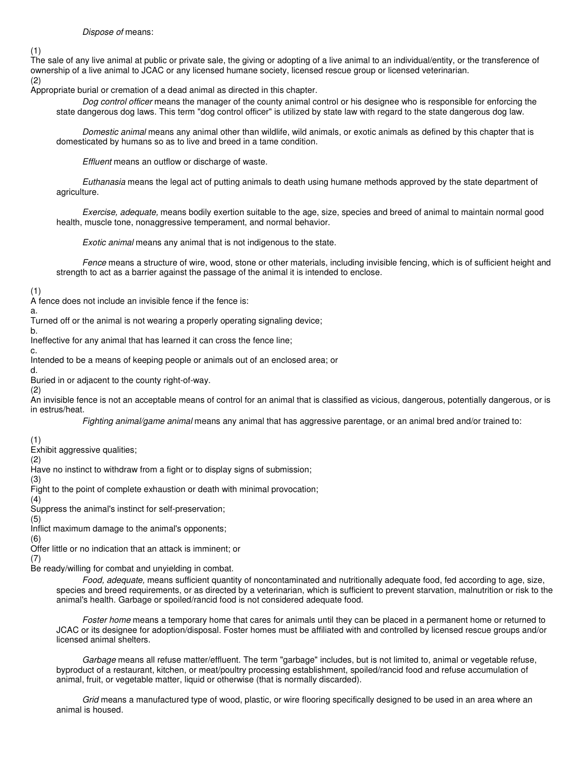#### Dispose of means:

(1)

The sale of any live animal at public or private sale, the giving or adopting of a live animal to an individual/entity, or the transference of ownership of a live animal to JCAC or any licensed humane society, licensed rescue group or licensed veterinarian. (2)

Appropriate burial or cremation of a dead animal as directed in this chapter.

Dog control officer means the manager of the county animal control or his designee who is responsible for enforcing the state dangerous dog laws. This term "dog control officer" is utilized by state law with regard to the state dangerous dog law.

Domestic animal means any animal other than wildlife, wild animals, or exotic animals as defined by this chapter that is domesticated by humans so as to live and breed in a tame condition.

Effluent means an outflow or discharge of waste.

Euthanasia means the legal act of putting animals to death using humane methods approved by the state department of agriculture.

Exercise, adequate, means bodily exertion suitable to the age, size, species and breed of animal to maintain normal good health, muscle tone, nonaggressive temperament, and normal behavior.

Exotic animal means any animal that is not indigenous to the state.

Fence means a structure of wire, wood, stone or other materials, including invisible fencing, which is of sufficient height and strength to act as a barrier against the passage of the animal it is intended to enclose.

(1)

A fence does not include an invisible fence if the fence is:

a. Turned off or the animal is not wearing a properly operating signaling device;

b.

Ineffective for any animal that has learned it can cross the fence line;

c.

Intended to be a means of keeping people or animals out of an enclosed area; or

d.

Buried in or adjacent to the county right-of-way.

(2) An invisible fence is not an acceptable means of control for an animal that is classified as vicious, dangerous, potentially dangerous, or is in estrus/heat.

Fighting animal/game animal means any animal that has aggressive parentage, or an animal bred and/or trained to:

(1)

Exhibit aggressive qualities;

(2)

Have no instinct to withdraw from a fight or to display signs of submission;

(3)

Fight to the point of complete exhaustion or death with minimal provocation; (4)

Suppress the animal's instinct for self-preservation;

(5)

Inflict maximum damage to the animal's opponents;

(6)

Offer little or no indication that an attack is imminent; or

(7)

Be ready/willing for combat and unyielding in combat.

Food, adequate, means sufficient quantity of noncontaminated and nutritionally adequate food, fed according to age, size, species and breed requirements, or as directed by a veterinarian, which is sufficient to prevent starvation, malnutrition or risk to the animal's health. Garbage or spoiled/rancid food is not considered adequate food.

Foster home means a temporary home that cares for animals until they can be placed in a permanent home or returned to JCAC or its designee for adoption/disposal. Foster homes must be affiliated with and controlled by licensed rescue groups and/or licensed animal shelters.

Garbage means all refuse matter/effluent. The term "garbage" includes, but is not limited to, animal or vegetable refuse, byproduct of a restaurant, kitchen, or meat/poultry processing establishment, spoiled/rancid food and refuse accumulation of animal, fruit, or vegetable matter, liquid or otherwise (that is normally discarded).

Grid means a manufactured type of wood, plastic, or wire flooring specifically designed to be used in an area where an animal is housed.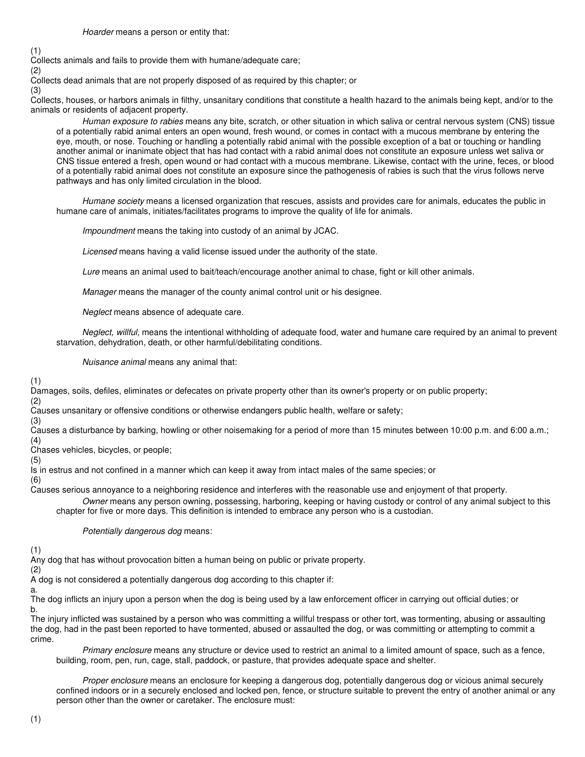(1)

Collects animals and fails to provide them with humane/adequate care;

(2)

Collects dead animals that are not properly disposed of as required by this chapter; or

(3)

Collects, houses, or harbors animals in filthy, unsanitary conditions that constitute a health hazard to the animals being kept, and/or to the animals or residents of adjacent property.

Human exposure to rabies means any bite, scratch, or other situation in which saliva or central nervous system (CNS) tissue of a potentially rabid animal enters an open wound, fresh wound, or comes in contact with a mucous membrane by entering the eye, mouth, or nose. Touching or handling a potentially rabid animal with the possible exception of a bat or touching or handling another animal or inanimate object that has had contact with a rabid animal does not constitute an exposure unless wet saliva or CNS tissue entered a fresh, open wound or had contact with a mucous membrane. Likewise, contact with the urine, feces, or blood of a potentially rabid animal does not constitute an exposure since the pathogenesis of rabies is such that the virus follows nerve pathways and has only limited circulation in the blood.

Humane society means a licensed organization that rescues, assists and provides care for animals, educates the public in humane care of animals, initiates/facilitates programs to improve the quality of life for animals.

Impoundment means the taking into custody of an animal by JCAC.

Licensed means having a valid license issued under the authority of the state.

Lure means an animal used to bait/teach/encourage another animal to chase, fight or kill other animals.

Manager means the manager of the county animal control unit or his designee.

Neglect means absence of adequate care.

Neglect, willful, means the intentional withholding of adequate food, water and humane care required by an animal to prevent starvation, dehydration, death, or other harmful/debilitating conditions.

Nuisance animal means any animal that:

(1)

(2)

Damages, soils, defiles, eliminates or defecates on private property other than its owner's property or on public property;

Causes unsanitary or offensive conditions or otherwise endangers public health, welfare or safety;

(3)

Causes a disturbance by barking, howling or other noisemaking for a period of more than 15 minutes between 10:00 p.m. and 6:00 a.m.; (4)

Chases vehicles, bicycles, or people;

(5)

Is in estrus and not confined in a manner which can keep it away from intact males of the same species; or

(6)

Causes serious annoyance to a neighboring residence and interferes with the reasonable use and enjoyment of that property.

Owner means any person owning, possessing, harboring, keeping or having custody or control of any animal subject to this chapter for five or more days. This definition is intended to embrace any person who is a custodian.

Potentially dangerous dog means:

(1)

Any dog that has without provocation bitten a human being on public or private property.

(2)

A dog is not considered a potentially dangerous dog according to this chapter if:

a.

The dog inflicts an injury upon a person when the dog is being used by a law enforcement officer in carrying out official duties; or b.

The injury inflicted was sustained by a person who was committing a willful trespass or other tort, was tormenting, abusing or assaulting the dog, had in the past been reported to have tormented, abused or assaulted the dog, or was committing or attempting to commit a crime.

Primary enclosure means any structure or device used to restrict an animal to a limited amount of space, such as a fence, building, room, pen, run, cage, stall, paddock, or pasture, that provides adequate space and shelter.

Proper enclosure means an enclosure for keeping a dangerous dog, potentially dangerous dog or vicious animal securely confined indoors or in a securely enclosed and locked pen, fence, or structure suitable to prevent the entry of another animal or any person other than the owner or caretaker. The enclosure must: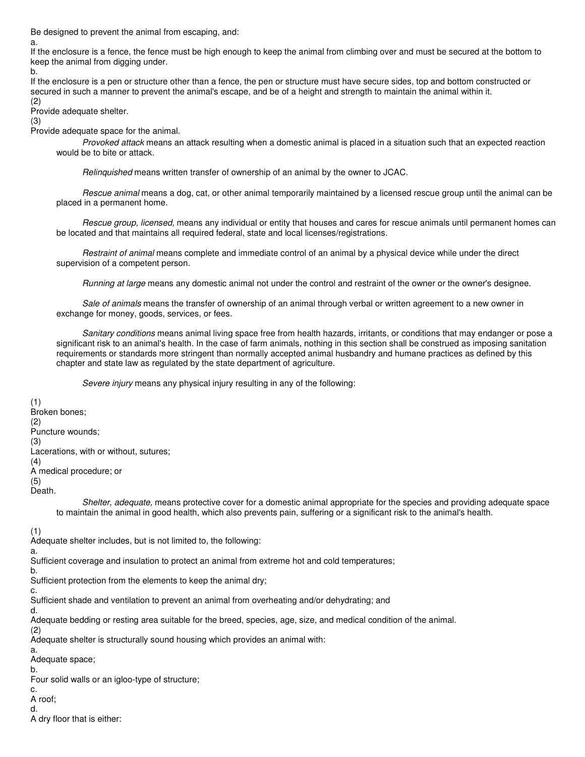Be designed to prevent the animal from escaping, and:

a.

If the enclosure is a fence, the fence must be high enough to keep the animal from climbing over and must be secured at the bottom to keep the animal from digging under.

b.

If the enclosure is a pen or structure other than a fence, the pen or structure must have secure sides, top and bottom constructed or secured in such a manner to prevent the animal's escape, and be of a height and strength to maintain the animal within it.

(2) Provide adequate shelter.

(3)

Provide adequate space for the animal.

Provoked attack means an attack resulting when a domestic animal is placed in a situation such that an expected reaction would be to bite or attack.

Relinquished means written transfer of ownership of an animal by the owner to JCAC.

Rescue animal means a dog, cat, or other animal temporarily maintained by a licensed rescue group until the animal can be placed in a permanent home.

Rescue group, licensed, means any individual or entity that houses and cares for rescue animals until permanent homes can be located and that maintains all required federal, state and local licenses/registrations.

Restraint of animal means complete and immediate control of an animal by a physical device while under the direct supervision of a competent person.

Running at large means any domestic animal not under the control and restraint of the owner or the owner's designee.

Sale of animals means the transfer of ownership of an animal through verbal or written agreement to a new owner in exchange for money, goods, services, or fees.

Sanitary conditions means animal living space free from health hazards, irritants, or conditions that may endanger or pose a significant risk to an animal's health. In the case of farm animals, nothing in this section shall be construed as imposing sanitation requirements or standards more stringent than normally accepted animal husbandry and humane practices as defined by this chapter and state law as regulated by the state department of agriculture.

Severe injury means any physical injury resulting in any of the following:

(1) Broken bones; (2) Puncture wounds; (3) Lacerations, with or without, sutures; (4) A medical procedure; or (5) Death.

> Shelter, adequate, means protective cover for a domestic animal appropriate for the species and providing adequate space to maintain the animal in good health, which also prevents pain, suffering or a significant risk to the animal's health.

(1)

Adequate shelter includes, but is not limited to, the following:

a.

Sufficient coverage and insulation to protect an animal from extreme hot and cold temperatures;

b.

Sufficient protection from the elements to keep the animal dry;

c.

Sufficient shade and ventilation to prevent an animal from overheating and/or dehydrating; and

d.

Adequate bedding or resting area suitable for the breed, species, age, size, and medical condition of the animal.

(2)

Adequate shelter is structurally sound housing which provides an animal with:

a. Adequate space;

b.

Four solid walls or an igloo-type of structure;

c.

A roof; d.

A dry floor that is either: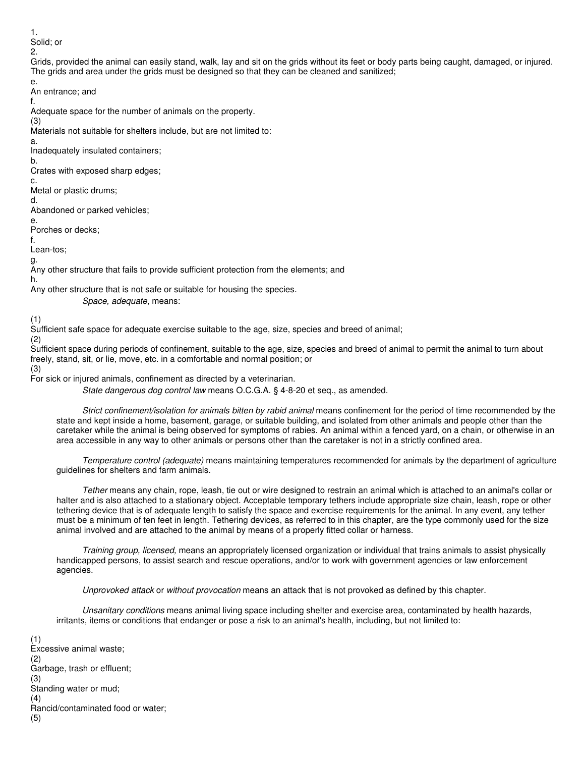1. Solid; or

2.

e.

Grids, provided the animal can easily stand, walk, lay and sit on the grids without its feet or body parts being caught, damaged, or injured. The grids and area under the grids must be designed so that they can be cleaned and sanitized;

An entrance; and

f. Adequate space for the number of animals on the property.

(3)

Materials not suitable for shelters include, but are not limited to:

a.

Inadequately insulated containers;

b. Crates with exposed sharp edges;

c.

Metal or plastic drums;

d.

Abandoned or parked vehicles; e.

Porches or decks;

f.

Lean-tos;

g.

Any other structure that fails to provide sufficient protection from the elements; and h.

Any other structure that is not safe or suitable for housing the species.

Space, adequate, means:

(1)

Sufficient safe space for adequate exercise suitable to the age, size, species and breed of animal;

(2) Sufficient space during periods of confinement, suitable to the age, size, species and breed of animal to permit the animal to turn about freely, stand, sit, or lie, move, etc. in a comfortable and normal position; or

(3)

For sick or injured animals, confinement as directed by a veterinarian.

State dangerous dog control law means O.C.G.A. § 4-8-20 et seq., as amended.

Strict confinement/isolation for animals bitten by rabid animal means confinement for the period of time recommended by the state and kept inside a home, basement, garage, or suitable building, and isolated from other animals and people other than the caretaker while the animal is being observed for symptoms of rabies. An animal within a fenced yard, on a chain, or otherwise in an area accessible in any way to other animals or persons other than the caretaker is not in a strictly confined area.

Temperature control (adequate) means maintaining temperatures recommended for animals by the department of agriculture guidelines for shelters and farm animals.

Tether means any chain, rope, leash, tie out or wire designed to restrain an animal which is attached to an animal's collar or halter and is also attached to a stationary object. Acceptable temporary tethers include appropriate size chain, leash, rope or other tethering device that is of adequate length to satisfy the space and exercise requirements for the animal. In any event, any tether must be a minimum of ten feet in length. Tethering devices, as referred to in this chapter, are the type commonly used for the size animal involved and are attached to the animal by means of a properly fitted collar or harness.

Training group, licensed, means an appropriately licensed organization or individual that trains animals to assist physically handicapped persons, to assist search and rescue operations, and/or to work with government agencies or law enforcement agencies.

Unprovoked attack or without provocation means an attack that is not provoked as defined by this chapter.

Unsanitary conditions means animal living space including shelter and exercise area, contaminated by health hazards, irritants, items or conditions that endanger or pose a risk to an animal's health, including, but not limited to:

(1) Excessive animal waste; (2) Garbage, trash or effluent; (3) Standing water or mud; (4) Rancid/contaminated food or water; (5)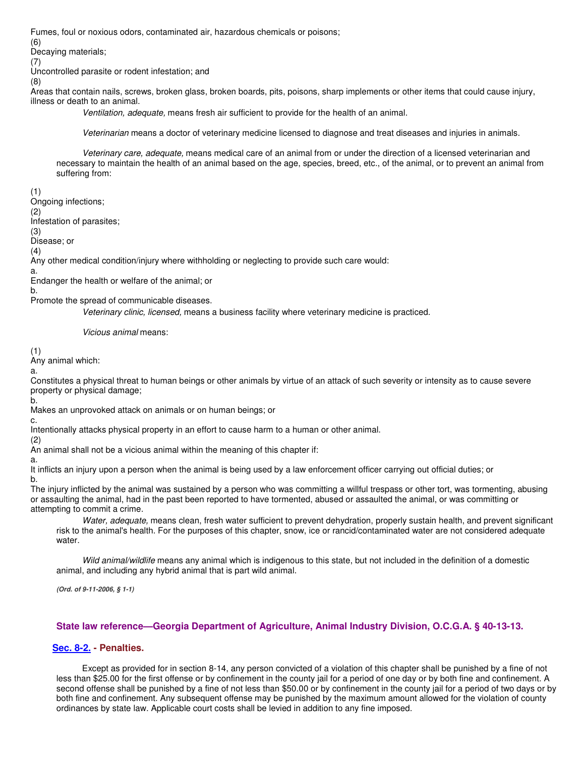Fumes, foul or noxious odors, contaminated air, hazardous chemicals or poisons;

(6)

Decaying materials;

(7)

Uncontrolled parasite or rodent infestation; and

(8)

Areas that contain nails, screws, broken glass, broken boards, pits, poisons, sharp implements or other items that could cause injury, illness or death to an animal.

Ventilation, adequate, means fresh air sufficient to provide for the health of an animal.

Veterinarian means a doctor of veterinary medicine licensed to diagnose and treat diseases and injuries in animals.

Veterinary care, adequate, means medical care of an animal from or under the direction of a licensed veterinarian and necessary to maintain the health of an animal based on the age, species, breed, etc., of the animal, or to prevent an animal from suffering from:

(1) Ongoing infections;

(2)

Infestation of parasites;

(3)

Disease; or

(4)

Any other medical condition/injury where withholding or neglecting to provide such care would:

a. Endanger the health or welfare of the animal; or

b.

Promote the spread of communicable diseases.

Veterinary clinic, licensed, means a business facility where veterinary medicine is practiced.

Vicious animal means:

(1) Any animal which:

a.

Constitutes a physical threat to human beings or other animals by virtue of an attack of such severity or intensity as to cause severe property or physical damage;

b.

Makes an unprovoked attack on animals or on human beings; or

c.

Intentionally attacks physical property in an effort to cause harm to a human or other animal.

(2)

An animal shall not be a vicious animal within the meaning of this chapter if:

a.

It inflicts an injury upon a person when the animal is being used by a law enforcement officer carrying out official duties; or b.

The injury inflicted by the animal was sustained by a person who was committing a willful trespass or other tort, was tormenting, abusing or assaulting the animal, had in the past been reported to have tormented, abused or assaulted the animal, or was committing or attempting to commit a crime.

Water, adequate, means clean, fresh water sufficient to prevent dehydration, properly sustain health, and prevent significant risk to the animal's health. For the purposes of this chapter, snow, ice or rancid/contaminated water are not considered adequate water.

Wild animal/wildlife means any animal which is indigenous to this state, but not included in the definition of a domestic animal, and including any hybrid animal that is part wild animal.

**(Ord. of 9-11-2006, § 1-1)** 

# **State law reference—Georgia Department of Agriculture, Animal Industry Division, O.C.G.A. § 40-13-13.**

# **Sec. 8-2. - Penalties.**

Except as provided for in section 8-14, any person convicted of a violation of this chapter shall be punished by a fine of not less than \$25.00 for the first offense or by confinement in the county jail for a period of one day or by both fine and confinement. A second offense shall be punished by a fine of not less than \$50.00 or by confinement in the county jail for a period of two days or by both fine and confinement. Any subsequent offense may be punished by the maximum amount allowed for the violation of county ordinances by state law. Applicable court costs shall be levied in addition to any fine imposed.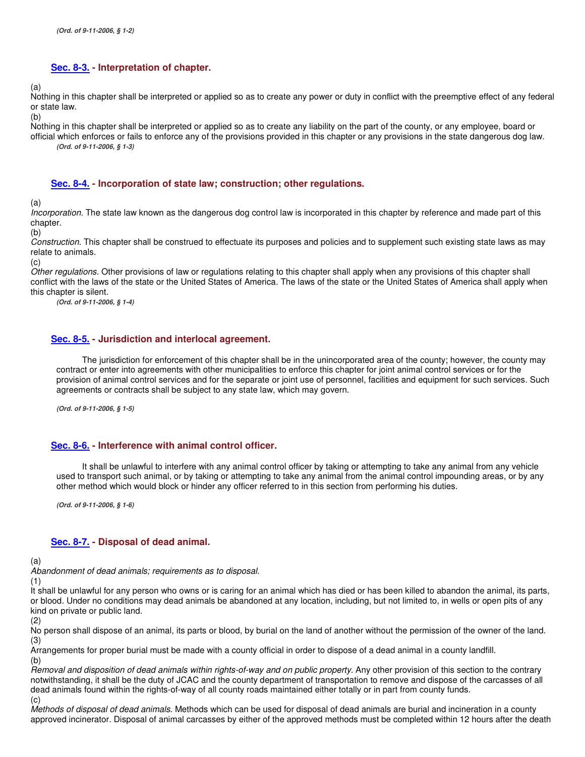#### **Sec. 8-3. - Interpretation of chapter.**

(a)

Nothing in this chapter shall be interpreted or applied so as to create any power or duty in conflict with the preemptive effect of any federal or state law.

(b)

Nothing in this chapter shall be interpreted or applied so as to create any liability on the part of the county, or any employee, board or official which enforces or fails to enforce any of the provisions provided in this chapter or any provisions in the state dangerous dog law. **(Ord. of 9-11-2006, § 1-3)** 

#### **Sec. 8-4. - Incorporation of state law; construction; other regulations.**

(a)

Incorporation. The state law known as the dangerous dog control law is incorporated in this chapter by reference and made part of this chapter.

(b)

Construction. This chapter shall be construed to effectuate its purposes and policies and to supplement such existing state laws as may relate to animals.

(c)

Other regulations. Other provisions of law or regulations relating to this chapter shall apply when any provisions of this chapter shall conflict with the laws of the state or the United States of America. The laws of the state or the United States of America shall apply when this chapter is silent.

**(Ord. of 9-11-2006, § 1-4)** 

#### **Sec. 8-5. - Jurisdiction and interlocal agreement.**

The jurisdiction for enforcement of this chapter shall be in the unincorporated area of the county; however, the county may contract or enter into agreements with other municipalities to enforce this chapter for joint animal control services or for the provision of animal control services and for the separate or joint use of personnel, facilities and equipment for such services. Such agreements or contracts shall be subject to any state law, which may govern.

**(Ord. of 9-11-2006, § 1-5)** 

#### **Sec. 8-6. - Interference with animal control officer.**

It shall be unlawful to interfere with any animal control officer by taking or attempting to take any animal from any vehicle used to transport such animal, or by taking or attempting to take any animal from the animal control impounding areas, or by any other method which would block or hinder any officer referred to in this section from performing his duties.

**(Ord. of 9-11-2006, § 1-6)** 

#### **Sec. 8-7. - Disposal of dead animal.**

(a)

Abandonment of dead animals; requirements as to disposal.

(1)

It shall be unlawful for any person who owns or is caring for an animal which has died or has been killed to abandon the animal, its parts, or blood. Under no conditions may dead animals be abandoned at any location, including, but not limited to, in wells or open pits of any kind on private or public land.

(2)

No person shall dispose of an animal, its parts or blood, by burial on the land of another without the permission of the owner of the land. (3)

Arrangements for proper burial must be made with a county official in order to dispose of a dead animal in a county landfill. (b)

Removal and disposition of dead animals within rights-of-way and on public property. Any other provision of this section to the contrary notwithstanding, it shall be the duty of JCAC and the county department of transportation to remove and dispose of the carcasses of all dead animals found within the rights-of-way of all county roads maintained either totally or in part from county funds.  $(c)$ 

Methods of disposal of dead animals. Methods which can be used for disposal of dead animals are burial and incineration in a county approved incinerator. Disposal of animal carcasses by either of the approved methods must be completed within 12 hours after the death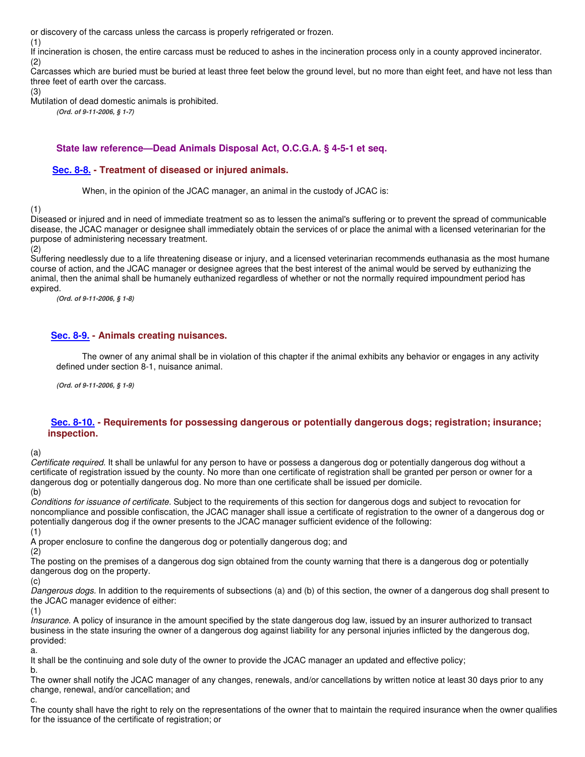or discovery of the carcass unless the carcass is properly refrigerated or frozen.

(1)

If incineration is chosen, the entire carcass must be reduced to ashes in the incineration process only in a county approved incinerator. (2)

Carcasses which are buried must be buried at least three feet below the ground level, but no more than eight feet, and have not less than three feet of earth over the carcass.

(3)

Mutilation of dead domestic animals is prohibited.

**(Ord. of 9-11-2006, § 1-7)** 

### **State law reference—Dead Animals Disposal Act, O.C.G.A. § 4-5-1 et seq.**

### **Sec. 8-8. - Treatment of diseased or injured animals.**

When, in the opinion of the JCAC manager, an animal in the custody of JCAC is:

(1)

Diseased or injured and in need of immediate treatment so as to lessen the animal's suffering or to prevent the spread of communicable disease, the JCAC manager or designee shall immediately obtain the services of or place the animal with a licensed veterinarian for the purpose of administering necessary treatment.

(2)

Suffering needlessly due to a life threatening disease or injury, and a licensed veterinarian recommends euthanasia as the most humane course of action, and the JCAC manager or designee agrees that the best interest of the animal would be served by euthanizing the animal, then the animal shall be humanely euthanized regardless of whether or not the normally required impoundment period has expired.

**(Ord. of 9-11-2006, § 1-8)** 

### **Sec. 8-9. - Animals creating nuisances.**

The owner of any animal shall be in violation of this chapter if the animal exhibits any behavior or engages in any activity defined under section 8-1, nuisance animal.

**(Ord. of 9-11-2006, § 1-9)** 

### **Sec. 8-10. - Requirements for possessing dangerous or potentially dangerous dogs; registration; insurance; inspection.**

# (a)

Certificate required. It shall be unlawful for any person to have or possess a dangerous dog or potentially dangerous dog without a certificate of registration issued by the county. No more than one certificate of registration shall be granted per person or owner for a dangerous dog or potentially dangerous dog. No more than one certificate shall be issued per domicile.

(b)

Conditions for issuance of certificate. Subject to the requirements of this section for dangerous dogs and subject to revocation for noncompliance and possible confiscation, the JCAC manager shall issue a certificate of registration to the owner of a dangerous dog or potentially dangerous dog if the owner presents to the JCAC manager sufficient evidence of the following:

(1)

A proper enclosure to confine the dangerous dog or potentially dangerous dog; and

(2)

The posting on the premises of a dangerous dog sign obtained from the county warning that there is a dangerous dog or potentially dangerous dog on the property.

(c)

Dangerous dogs. In addition to the requirements of subsections (a) and (b) of this section, the owner of a dangerous dog shall present to the JCAC manager evidence of either:

(1)

Insurance. A policy of insurance in the amount specified by the state dangerous dog law, issued by an insurer authorized to transact business in the state insuring the owner of a dangerous dog against liability for any personal injuries inflicted by the dangerous dog, provided: a.

It shall be the continuing and sole duty of the owner to provide the JCAC manager an updated and effective policy;

b.

The owner shall notify the JCAC manager of any changes, renewals, and/or cancellations by written notice at least 30 days prior to any change, renewal, and/or cancellation; and

c.

The county shall have the right to rely on the representations of the owner that to maintain the required insurance when the owner qualifies for the issuance of the certificate of registration; or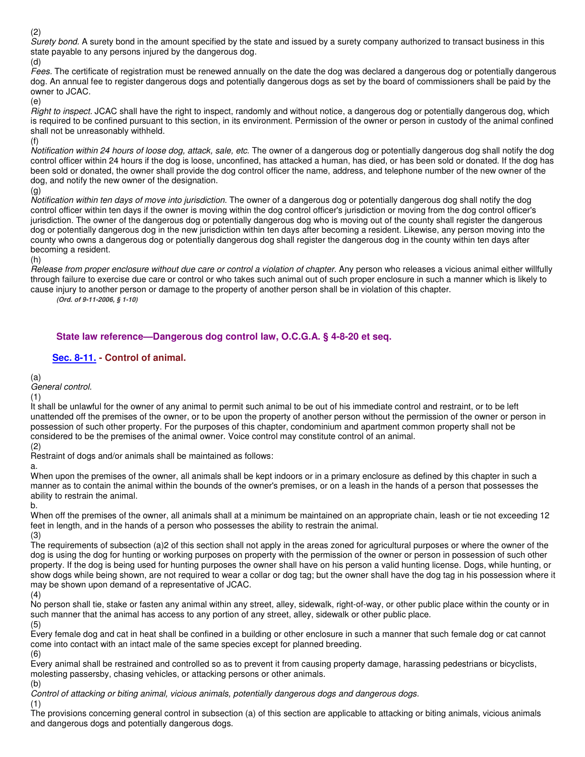(2)

Surety bond. A surety bond in the amount specified by the state and issued by a surety company authorized to transact business in this state payable to any persons injured by the dangerous dog.

(d)

Fees. The certificate of registration must be renewed annually on the date the dog was declared a dangerous dog or potentially dangerous dog. An annual fee to register dangerous dogs and potentially dangerous dogs as set by the board of commissioners shall be paid by the owner to JCAC.

(e)

Right to inspect. JCAC shall have the right to inspect, randomly and without notice, a dangerous dog or potentially dangerous dog, which is required to be confined pursuant to this section, in its environment. Permission of the owner or person in custody of the animal confined shall not be unreasonably withheld.

(f)

Notification within 24 hours of loose dog, attack, sale, etc. The owner of a dangerous dog or potentially dangerous dog shall notify the dog control officer within 24 hours if the dog is loose, unconfined, has attacked a human, has died, or has been sold or donated. If the dog has been sold or donated, the owner shall provide the dog control officer the name, address, and telephone number of the new owner of the dog, and notify the new owner of the designation.

(g)

Notification within ten days of move into jurisdiction. The owner of a dangerous dog or potentially dangerous dog shall notify the dog control officer within ten days if the owner is moving within the dog control officer's jurisdiction or moving from the dog control officer's jurisdiction. The owner of the dangerous dog or potentially dangerous dog who is moving out of the county shall register the dangerous dog or potentially dangerous dog in the new jurisdiction within ten days after becoming a resident. Likewise, any person moving into the county who owns a dangerous dog or potentially dangerous dog shall register the dangerous dog in the county within ten days after becoming a resident.

(h)

Release from proper enclosure without due care or control a violation of chapter. Any person who releases a vicious animal either willfully through failure to exercise due care or control or who takes such animal out of such proper enclosure in such a manner which is likely to cause injury to another person or damage to the property of another person shall be in violation of this chapter.

**(Ord. of 9-11-2006, § 1-10)** 

# **State law reference—Dangerous dog control law, O.C.G.A. § 4-8-20 et seq.**

# **Sec. 8-11. - Control of animal.**

(a)

# General control.

(1)

It shall be unlawful for the owner of any animal to permit such animal to be out of his immediate control and restraint, or to be left unattended off the premises of the owner, or to be upon the property of another person without the permission of the owner or person in possession of such other property. For the purposes of this chapter, condominium and apartment common property shall not be considered to be the premises of the animal owner. Voice control may constitute control of an animal. (2)

Restraint of dogs and/or animals shall be maintained as follows:

a.

When upon the premises of the owner, all animals shall be kept indoors or in a primary enclosure as defined by this chapter in such a manner as to contain the animal within the bounds of the owner's premises, or on a leash in the hands of a person that possesses the ability to restrain the animal.

b.

When off the premises of the owner, all animals shall at a minimum be maintained on an appropriate chain, leash or tie not exceeding 12 feet in length, and in the hands of a person who possesses the ability to restrain the animal. (3)

The requirements of subsection (a)2 of this section shall not apply in the areas zoned for agricultural purposes or where the owner of the dog is using the dog for hunting or working purposes on property with the permission of the owner or person in possession of such other property. If the dog is being used for hunting purposes the owner shall have on his person a valid hunting license. Dogs, while hunting, or show dogs while being shown, are not required to wear a collar or dog tag; but the owner shall have the dog tag in his possession where it may be shown upon demand of a representative of JCAC.

(4)

No person shall tie, stake or fasten any animal within any street, alley, sidewalk, right-of-way, or other public place within the county or in such manner that the animal has access to any portion of any street, alley, sidewalk or other public place. (5)

Every female dog and cat in heat shall be confined in a building or other enclosure in such a manner that such female dog or cat cannot come into contact with an intact male of the same species except for planned breeding. (6)

Every animal shall be restrained and controlled so as to prevent it from causing property damage, harassing pedestrians or bicyclists, molesting passersby, chasing vehicles, or attacking persons or other animals.

(b)

Control of attacking or biting animal, vicious animals, potentially dangerous dogs and dangerous dogs.

(1)

The provisions concerning general control in subsection (a) of this section are applicable to attacking or biting animals, vicious animals and dangerous dogs and potentially dangerous dogs.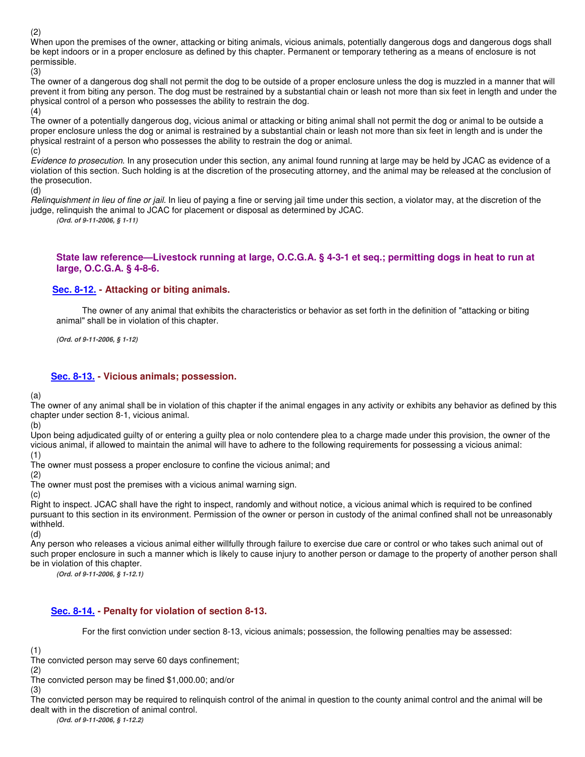(2)

When upon the premises of the owner, attacking or biting animals, vicious animals, potentially dangerous dogs and dangerous dogs shall be kept indoors or in a proper enclosure as defined by this chapter. Permanent or temporary tethering as a means of enclosure is not permissible.

(3)

The owner of a dangerous dog shall not permit the dog to be outside of a proper enclosure unless the dog is muzzled in a manner that will prevent it from biting any person. The dog must be restrained by a substantial chain or leash not more than six feet in length and under the physical control of a person who possesses the ability to restrain the dog. (4)

The owner of a potentially dangerous dog, vicious animal or attacking or biting animal shall not permit the dog or animal to be outside a proper enclosure unless the dog or animal is restrained by a substantial chain or leash not more than six feet in length and is under the physical restraint of a person who possesses the ability to restrain the dog or animal.

(c)

Evidence to prosecution. In any prosecution under this section, any animal found running at large may be held by JCAC as evidence of a violation of this section. Such holding is at the discretion of the prosecuting attorney, and the animal may be released at the conclusion of the prosecution.

(d)

Relinquishment in lieu of fine or jail. In lieu of paying a fine or serving jail time under this section, a violator may, at the discretion of the judge, relinquish the animal to JCAC for placement or disposal as determined by JCAC.

**(Ord. of 9-11-2006, § 1-11)** 

#### **State law reference—Livestock running at large, O.C.G.A. § 4-3-1 et seq.; permitting dogs in heat to run at large, O.C.G.A. § 4-8-6.**

### **Sec. 8-12. - Attacking or biting animals.**

The owner of any animal that exhibits the characteristics or behavior as set forth in the definition of "attacking or biting animal" shall be in violation of this chapter.

**(Ord. of 9-11-2006, § 1-12)** 

## **Sec. 8-13. - Vicious animals; possession.**

(a)

The owner of any animal shall be in violation of this chapter if the animal engages in any activity or exhibits any behavior as defined by this chapter under section 8-1, vicious animal.

(b)

Upon being adjudicated guilty of or entering a guilty plea or nolo contendere plea to a charge made under this provision, the owner of the vicious animal, if allowed to maintain the animal will have to adhere to the following requirements for possessing a vicious animal:

(1)

The owner must possess a proper enclosure to confine the vicious animal; and

(2) The owner must post the premises with a vicious animal warning sign.

(c)

Right to inspect. JCAC shall have the right to inspect, randomly and without notice, a vicious animal which is required to be confined pursuant to this section in its environment. Permission of the owner or person in custody of the animal confined shall not be unreasonably withheld.

(d)

Any person who releases a vicious animal either willfully through failure to exercise due care or control or who takes such animal out of such proper enclosure in such a manner which is likely to cause injury to another person or damage to the property of another person shall be in violation of this chapter.

**(Ord. of 9-11-2006, § 1-12.1)** 

# **Sec. 8-14. - Penalty for violation of section 8-13.**

For the first conviction under section 8-13, vicious animals; possession, the following penalties may be assessed:

(1)

The convicted person may serve 60 days confinement;

(2)

The convicted person may be fined \$1,000.00; and/or

(3) The convicted person may be required to relinquish control of the animal in question to the county animal control and the animal will be dealt with in the discretion of animal control.

**(Ord. of 9-11-2006, § 1-12.2)**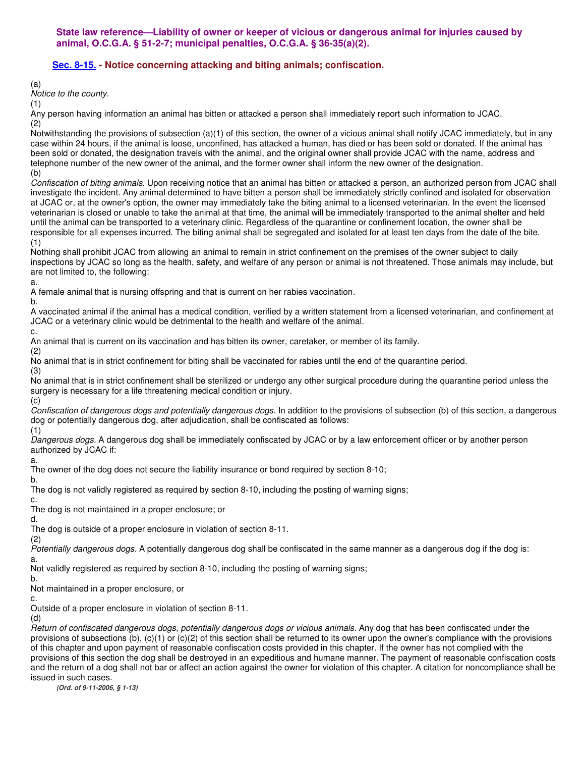# **Sec. 8-15. - Notice concerning attacking and biting animals; confiscation.**

(a)

Notice to the county.

(1)

Any person having information an animal has bitten or attacked a person shall immediately report such information to JCAC. (2)

Notwithstanding the provisions of subsection (a)(1) of this section, the owner of a vicious animal shall notify JCAC immediately, but in any case within 24 hours, if the animal is loose, unconfined, has attacked a human, has died or has been sold or donated. If the animal has been sold or donated, the designation travels with the animal, and the original owner shall provide JCAC with the name, address and telephone number of the new owner of the animal, and the former owner shall inform the new owner of the designation. (b)

Confiscation of biting animals. Upon receiving notice that an animal has bitten or attacked a person, an authorized person from JCAC shall investigate the incident. Any animal determined to have bitten a person shall be immediately strictly confined and isolated for observation at JCAC or, at the owner's option, the owner may immediately take the biting animal to a licensed veterinarian. In the event the licensed veterinarian is closed or unable to take the animal at that time, the animal will be immediately transported to the animal shelter and held until the animal can be transported to a veterinary clinic. Regardless of the quarantine or confinement location, the owner shall be responsible for all expenses incurred. The biting animal shall be segregated and isolated for at least ten days from the date of the bite. (1)

Nothing shall prohibit JCAC from allowing an animal to remain in strict confinement on the premises of the owner subject to daily inspections by JCAC so long as the health, safety, and welfare of any person or animal is not threatened. Those animals may include, but are not limited to, the following: a.

A female animal that is nursing offspring and that is current on her rabies vaccination.

b.

A vaccinated animal if the animal has a medical condition, verified by a written statement from a licensed veterinarian, and confinement at JCAC or a veterinary clinic would be detrimental to the health and welfare of the animal. c.

An animal that is current on its vaccination and has bitten its owner, caretaker, or member of its family.

(2)

No animal that is in strict confinement for biting shall be vaccinated for rabies until the end of the quarantine period. (3)

No animal that is in strict confinement shall be sterilized or undergo any other surgical procedure during the quarantine period unless the surgery is necessary for a life threatening medical condition or injury.

(c)

Confiscation of dangerous dogs and potentially dangerous dogs. In addition to the provisions of subsection (b) of this section, a dangerous dog or potentially dangerous dog, after adjudication, shall be confiscated as follows:

(1)

Dangerous dogs. A dangerous dog shall be immediately confiscated by JCAC or by a law enforcement officer or by another person authorized by JCAC if:

a.

The owner of the dog does not secure the liability insurance or bond required by section 8-10;

b. The dog is not validly registered as required by section 8-10, including the posting of warning signs;

c. The dog is not maintained in a proper enclosure; or

d.

The dog is outside of a proper enclosure in violation of section 8-11.

(2)

Potentially dangerous dogs. A potentially dangerous dog shall be confiscated in the same manner as a dangerous dog if the dog is: a.

Not validly registered as required by section 8-10, including the posting of warning signs;

b.

Not maintained in a proper enclosure, or

c.

Outside of a proper enclosure in violation of section 8-11.

(d)

Return of confiscated dangerous dogs, potentially dangerous dogs or vicious animals. Any dog that has been confiscated under the provisions of subsections (b), (c)(1) or (c)(2) of this section shall be returned to its owner upon the owner's compliance with the provisions of this chapter and upon payment of reasonable confiscation costs provided in this chapter. If the owner has not complied with the provisions of this section the dog shall be destroyed in an expeditious and humane manner. The payment of reasonable confiscation costs and the return of a dog shall not bar or affect an action against the owner for violation of this chapter. A citation for noncompliance shall be issued in such cases.

**(Ord. of 9-11-2006, § 1-13)**